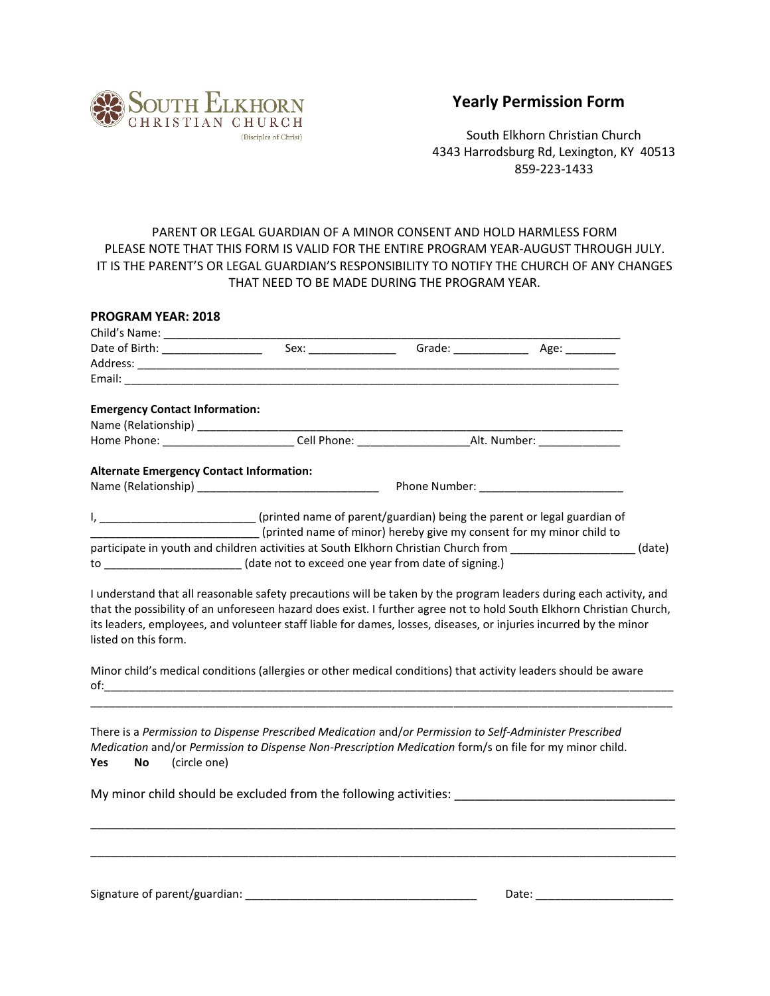

## **Yearly Permission Form**

South Elkhorn Christian Church 4343 Harrodsburg Rd, Lexington, KY 40513 859-223-1433

## PARENT OR LEGAL GUARDIAN OF A MINOR CONSENT AND HOLD HARMLESS FORM PLEASE NOTE THAT THIS FORM IS VALID FOR THE ENTIRE PROGRAM YEAR-AUGUST THROUGH JULY. IT IS THE PARENT'S OR LEGAL GUARDIAN'S RESPONSIBILITY TO NOTIFY THE CHURCH OF ANY CHANGES THAT NEED TO BE MADE DURING THE PROGRAM YEAR.

| <b>PROGRAM YEAR: 2018</b>                                                                                            |                                                                      |  |        |
|----------------------------------------------------------------------------------------------------------------------|----------------------------------------------------------------------|--|--------|
|                                                                                                                      |                                                                      |  |        |
|                                                                                                                      |                                                                      |  |        |
|                                                                                                                      |                                                                      |  |        |
|                                                                                                                      |                                                                      |  |        |
|                                                                                                                      |                                                                      |  |        |
| <b>Emergency Contact Information:</b>                                                                                |                                                                      |  |        |
|                                                                                                                      |                                                                      |  |        |
|                                                                                                                      |                                                                      |  |        |
| <b>Alternate Emergency Contact Information:</b>                                                                      |                                                                      |  |        |
|                                                                                                                      |                                                                      |  |        |
| I, ___________________________(printed name of parent/guardian) being the parent or legal guardian of                |                                                                      |  |        |
|                                                                                                                      | (printed name of minor) hereby give my consent for my minor child to |  |        |
| participate in youth and children activities at South Elkhorn Christian Church from ________________                 |                                                                      |  | (date) |
| to __________________________(date not to exceed one year from date of signing.)                                     |                                                                      |  |        |
| I understand that all reasonable safety precautions will be taken by the program leaders during each activity, and   |                                                                      |  |        |
| that the possibility of an unforeseen hazard does exist. I further agree not to hold South Elkhorn Christian Church, |                                                                      |  |        |
| its leaders, employees, and volunteer staff liable for dames, losses, diseases, or injuries incurred by the minor    |                                                                      |  |        |
| listed on this form.                                                                                                 |                                                                      |  |        |
| Minor child's medical conditions (allergies or other medical conditions) that activity leaders should be aware       |                                                                      |  |        |
|                                                                                                                      |                                                                      |  |        |
|                                                                                                                      |                                                                      |  |        |
| There is a Permission to Dispense Prescribed Medication and/or Permission to Self-Administer Prescribed              |                                                                      |  |        |
| Medication and/or Permission to Dispense Non-Prescription Medication form/s on file for my minor child.              |                                                                      |  |        |
| (circle one)<br>No<br>Yes                                                                                            |                                                                      |  |        |
|                                                                                                                      |                                                                      |  |        |
| My minor child should be excluded from the following activities: ___________________________________                 |                                                                      |  |        |
|                                                                                                                      |                                                                      |  |        |
|                                                                                                                      |                                                                      |  |        |
|                                                                                                                      |                                                                      |  |        |
|                                                                                                                      |                                                                      |  |        |

Signature of parent/guardian: \_\_\_\_\_\_\_\_\_\_\_\_\_\_\_\_\_\_\_\_\_\_\_\_\_\_\_\_\_\_\_\_\_\_\_\_\_ Date: \_\_\_\_\_\_\_\_\_\_\_\_\_\_\_\_\_\_\_\_\_\_